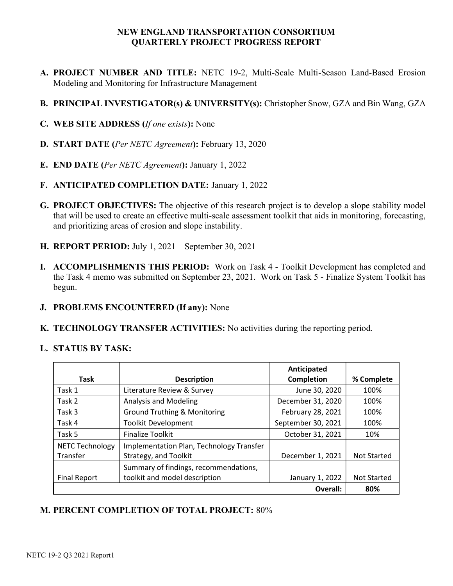## NEW ENGLAND TRANSPORTATION CONSORTIUM QUARTERLY PROJECT PROGRESS REPORT

- A. PROJECT NUMBER AND TITLE: NETC 19-2, Multi-Scale Multi-Season Land-Based Erosion Modeling and Monitoring for Infrastructure Management
- B. PRINCIPAL INVESTIGATOR(s) & UNIVERSITY(s): Christopher Snow, GZA and Bin Wang, GZA
- C. WEB SITE ADDRESS (If one exists): None
- D. START DATE (Per NETC Agreement): February 13, 2020
- E. END DATE (Per NETC Agreement): January 1, 2022
- F. ANTICIPATED COMPLETION DATE: January 1, 2022
- G. PROJECT OBJECTIVES: The objective of this research project is to develop a slope stability model that will be used to create an effective multi-scale assessment toolkit that aids in monitoring, forecasting, and prioritizing areas of erosion and slope instability.
- H. REPORT PERIOD: July 1, 2021 September 30, 2021
- I. ACCOMPLISHMENTS THIS PERIOD: Work on Task 4 Toolkit Development has completed and the Task 4 memo was submitted on September 23, 2021. Work on Task 5 - Finalize System Toolkit has begun.
- J. PROBLEMS ENCOUNTERED (If any): None
- K. TECHNOLOGY TRANSFER ACTIVITIES: No activities during the reporting period.

## L. STATUS BY TASK:

|                                    |                                                                   | Anticipated        |                    |
|------------------------------------|-------------------------------------------------------------------|--------------------|--------------------|
| <b>Task</b>                        | <b>Description</b>                                                | <b>Completion</b>  | % Complete         |
| Task 1                             | Literature Review & Survey                                        | June 30, 2020      | 100%               |
| Task 2                             | <b>Analysis and Modeling</b>                                      | December 31, 2020  | 100%               |
| Task 3                             | <b>Ground Truthing &amp; Monitoring</b>                           | February 28, 2021  | 100%               |
| Task 4                             | <b>Toolkit Development</b>                                        | September 30, 2021 | 100%               |
| Task 5                             | <b>Finalize Toolkit</b>                                           | October 31, 2021   | 10%                |
| <b>NETC Technology</b><br>Transfer | Implementation Plan, Technology Transfer<br>Strategy, and Toolkit | December 1, 2021   | <b>Not Started</b> |
|                                    | Summary of findings, recommendations,                             |                    |                    |
| <b>Final Report</b>                | toolkit and model description                                     | January 1, 2022    | <b>Not Started</b> |
|                                    |                                                                   | Overall:           | 80%                |

## M. PERCENT COMPLETION OF TOTAL PROJECT: 80%